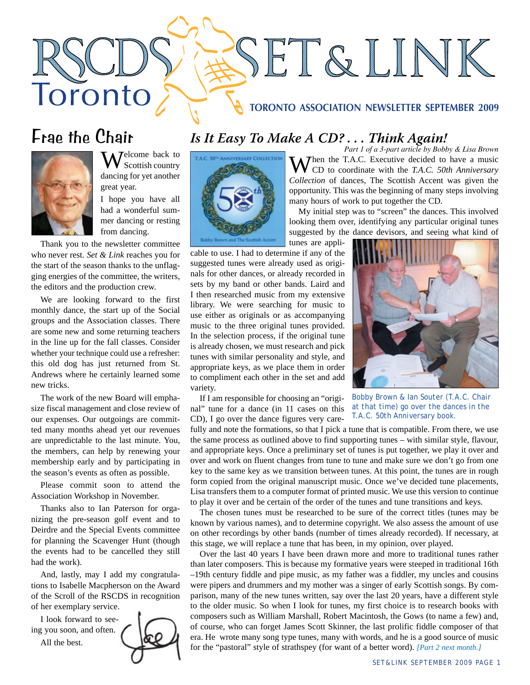### **TORONTO ASSOCIATION NEWSLETTER SEPTEMBER 2009**

SET&LINK

# Frae the Chair

Toronto



MJ elcome back to Scottish country dancing for yet another great year.

I hope you have all had a wonderful summer dancing or resting from dancing.

Thank you to the newsletter committee who never rest*. Set & Link* reaches you for the start of the season thanks to the unflagging energies of the committee, the writers, the editors and the production crew.

We are looking forward to the first monthly dance, the start up of the Social groups and the Association classes. There are some new and some returning teachers in the line up for the fall classes. Consider whether your technique could use a refresher: this old dog has just returned from St. Andrews where he certainly learned some new tricks.

The work of the new Board will emphasize fiscal management and close review of our expenses. Our outgoings are committed many months ahead yet our revenues are unpredictable to the last minute. You, the members, can help by renewing your membership early and by participating in the season's events as often as possible.

Please commit soon to attend the Association Workshop in November.

Thanks also to Ian Paterson for organizing the pre-season golf event and to Deirdre and the Special Events committee for planning the Scavenger Hunt (though the events had to be cancelled they still had the work).

And, lastly, may I add my congratulations to Isabelle Macpherson on the Award of the Scroll of the RSCDS in recognition of her exemplary service.

I look forward to seeing you soon, and often. All the best.



## *Is It Easy To Make A CD? . . . Think Again!*



tunes are applicable to use. I had to determine if any of the suggested tunes were already used as originals for other dances, or already recorded in sets by my band or other bands. Laird and I then researched music from my extensive library. We were searching for music to use either as originals or as accompanying music to the three original tunes provided. In the selection process, if the original tune is already chosen, we must research and pick tunes with similar personality and style, and appropriate keys, as we place them in order to compliment each other in the set and add variety.

If I am responsible for choosing an "original" tune for a dance (in 11 cases on this CD), I go over the dance figures very care-

*Part 1 of a 3-part article by Bobby & Lisa Brown* When the T.A.C. Executive decided to have a music CD to coordinate with the *T.A.C. 50th Anniversary Collection* of dances, The Scottish Accent was given the opportunity. This was the beginning of many steps involving many hours of work to put together the CD.

My initial step was to "screen" the dances. This involved looking them over, identifying any particular original tunes suggested by the dance devisors, and seeing what kind of



*Bobby Brown & Ian Souter (T.A.C. Chair at that time) go over the dances in the T.A.C. 50th Anniversary book.*

fully and note the formations, so that I pick a tune that is compatible. From there, we use the same process as outlined above to find supporting tunes – with similar style, flavour, and appropriate keys. Once a preliminary set of tunes is put together, we play it over and over and work on fluent changes from tune to tune and make sure we don't go from one key to the same key as we transition between tunes. At this point, the tunes are in rough form copied from the original manuscript music. Once we've decided tune placements, Lisa transfers them to a computer format of printed music. We use this version to continue to play it over and be certain of the order of the tunes and tune transitions and keys.

The chosen tunes must be researched to be sure of the correct titles (tunes may be known by various names), and to determine copyright. We also assess the amount of use on other recordings by other bands (number of times already recorded). If necessary, at this stage, we will replace a tune that has been, in my opinion, over played.

Over the last 40 years I have been drawn more and more to traditional tunes rather than later composers. This is because my formative years were steeped in traditional 16th –19th century fiddle and pipe music, as my father was a fiddler, my uncles and cousins were pipers and drummers and my mother was a singer of early Scottish songs. By comparison, many of the new tunes written, say over the last 20 years, have a different style to the older music. So when I look for tunes, my first choice is to research books with composers such as William Marshall, Robert Macintosh, the Gows (to name a few) and, of course, who can forget James Scott Skinner, the last prolific fiddle composer of that era. He wrote many song type tunes, many with words, and he is a good source of music for the "pastoral" style of strathspey (for want of a better word). *[Part 2 next month.]*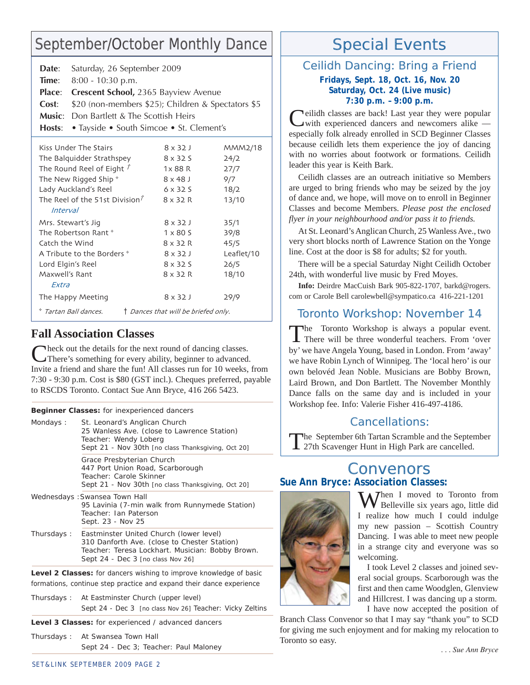# September/October Monthly Dance

| Date:                                                         | Saturday, 26 September 2009                        |  |                                          |            |
|---------------------------------------------------------------|----------------------------------------------------|--|------------------------------------------|------------|
| Time:                                                         | $8:00 - 10:30$ p.m.                                |  |                                          |            |
| Place:                                                        | <b>Crescent School, 2365 Bayview Avenue</b>        |  |                                          |            |
| Cost:                                                         | \$20 (non-members \$25); Children & Spectators \$5 |  |                                          |            |
| Music: .                                                      | Don Bartlett & The Scottish Heirs                  |  |                                          |            |
| Hosts:                                                        |                                                    |  | • Tayside • South Simcoe • St. Clement's |            |
| Kiss Under The Stairs                                         |                                                    |  | $8 \times 32J$                           | MMM2/18    |
| The Balquidder Strathspey                                     |                                                    |  | $8 \times 325$                           | 24/2       |
| The Round Reel of Eight $\tilde{I}$                           |                                                    |  | $1 \times 88$ R                          | 27/7       |
| The New Rigged Ship *                                         |                                                    |  | $8 \times 48$ J                          | 9/7        |
| Lady Auckland's Reel                                          |                                                    |  | $6 \times 325$                           | 18/2       |
| The Reel of the 51st Division <sup><math>\bar{r}</math></sup> |                                                    |  | $8 \times 32 R$                          | 13/10      |
| <i>Interval</i>                                               |                                                    |  |                                          |            |
| Mrs. Stewart's Jig                                            |                                                    |  | $8 \times 32J$                           | 35/1       |
| The Robertson Rant *                                          |                                                    |  | $1 \times 80$ S                          | 39/8       |
| Catch the Wind                                                |                                                    |  | $8 \times 32 R$                          | 45/5       |
| A Tribute to the Borders *                                    |                                                    |  | $8 \times 32J$                           | Leaflet/10 |
| Lord Elgin's Reel                                             |                                                    |  | $8 \times 325$                           | 26/5       |
| Maxwell's Rant                                                |                                                    |  | $8 \times 32 R$                          | 18/10      |
| <b><i>Fxtra</i></b>                                           |                                                    |  |                                          |            |
| The Happy Meeting                                             |                                                    |  | $8 \times 32$ J                          | 29/9       |
|                                                               | * Tartan Ball dances.                              |  | † Dances that will be briefed only.      |            |

### **Fall Association Classes**

Check out the details for the next round of dancing classes. There's something for every ability, beginner to advanced. Invite a friend and share the fun! All classes run for 10 weeks, from 7:30 - 9:30 p.m. Cost is \$80 (GST incl.). Cheques preferred, payable to RSCDS Toronto. Contact Sue Ann Bryce, 416 266 5423.

**Beginner Classes:** *for inexperienced dancers*

| St. Leonard's Anglican Church<br>25 Wanless Ave. (close to Lawrence Station)<br>Teacher: Wendy Loberg<br>Sept 21 - Nov 30th [no class Thanksgiving, Oct 20]                      |
|----------------------------------------------------------------------------------------------------------------------------------------------------------------------------------|
| Grace Presbyterian Church<br>447 Port Union Road, Scarborough<br>Teacher: Carole Skinner<br>Sept 21 - Nov 30th [no class Thanksgiving, Oct 20]                                   |
| Wednesdays: Swansea Town Hall<br>95 Lavinia (7-min walk from Runnymede Station)<br>Teacher: Ian Paterson<br>Sept. 23 - Nov 25                                                    |
| Eastminster United Church (lower level)<br>310 Danforth Ave. (close to Chester Station)<br>Teacher: Teresa Lockhart. Musician: Bobby Brown.<br>Sept 24 - Dec 3 [no class Nov 26] |
|                                                                                                                                                                                  |

**Level 2 Classes:** *for dancers wishing to improve knowledge of basic formations, continue step practice and expand their dance experience*

Thursdays : At Eastminster Church (upper level) Sept 24 - Dec 3 [no class Nov 26] Teacher: Vicky Zeltins

**Level 3 Classes:** *for experienced / advanced dancers*

Thursdays : At Swansea Town Hall Sept 24 - Dec 3; Teacher: Paul Maloney

# Special Events

## Ceilidh Dancing: Bring a Friend

**Fridays, Sept. 18, Oct. 16, Nov. 20 Saturday, Oct. 24 (Live music) 7:30 p.m. – 9:00 p.m.**

**Neilidh classes are back!** Last year they were popular with experienced dancers and newcomers alike especially folk already enrolled in SCD Beginner Classes because ceilidh lets them experience the joy of dancing with no worries about footwork or formations. Ceilidh leader this year is Keith Bark.

Ceilidh classes are an outreach initiative so Members are urged to bring friends who may be seized by the joy of dance and, we hope, will move on to enroll in Beginner Classes and become Members. *Please post the enclosed flyer in your neighbourhood and/or pass it to friends.*

At St. Leonard's Anglican Church, 25 Wanless Ave., two very short blocks north of Lawrence Station on the Yonge line. Cost at the door is \$8 for adults; \$2 for youth.

There will be a special Saturday Night Ceilidh October 24th, with wonderful live music by Fred Moyes.

**Info:** Deirdre MacCuish Bark 905-822-1707, barkd@rogers. com or Carole Bell carolewbell@sympatico.ca 416-221-1201

## Toronto Workshop: November 14

The Toronto Workshop is always a popular event. There will be three wonderful teachers. From 'over by' we have Angela Young, based in London. From 'away' we have Robin Lynch of Winnipeg. The 'local hero' is our own belovéd Jean Noble. Musicians are Bobby Brown, Laird Brown, and Don Bartlett. The November Monthly Dance falls on the same day and is included in your Workshop fee. Info: Valerie Fisher 416-497-4186.

### Cancellations:

The September 6th Tartan Scramble and the September 27th Scavenger Hunt in High Park are cancelled.

## Convenors **Sue Ann Bryce: Association Classes:**



Then I moved to Toronto from **V** Belleville six years ago, little did I realize how much I could indulge my new passion – Scottish Country Dancing. I was able to meet new people in a strange city and everyone was so welcoming.

I took Level 2 classes and joined several social groups. Scarborough was the first and then came Woodglen, Glenview and Hillcrest. I was dancing up a storm.

I have now accepted the position of

Branch Class Convenor so that I may say "thank you" to SCD for giving me such enjoyment and for making my relocation to Toronto so easy.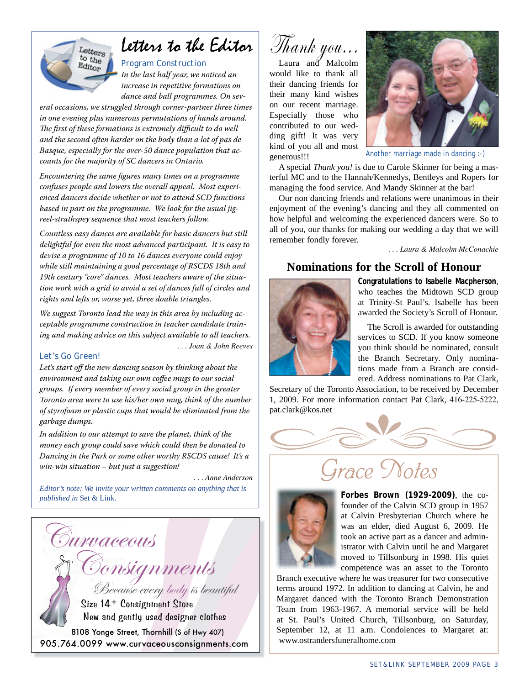

# Letters to the Editor

*Program Construction In the last half year, we noticed an increase in repetitive formations on dance and ball programmes. On sev-*

*eral occasions, we struggled through corner-partner three times in one evening plus numerous permutations of hands around.*  The first of these formations is extremely difficult to do well *and the second often harder on the body than a lot of pas de Basque, especially for the over-50 dance population that accounts for the majority of SC dancers in Ontario.*

*Encountering the same figures many times on a programme confuses people and lowers the overall appeal. Most experienced dancers decide whether or not to attend SCD functions based in part on the programme. We look for the usual jigreel-strathspey sequence that most teachers follow.* 

*Countless easy dances are available for basic dancers but still delightful for even the most advanced participant. It is easy to devise a programme of 10 to 16 dances everyone could enjoy while still maintaining a good percentage of RSCDS 18th and 19th century "core" dances. Most teachers aware of the situation work with a grid to avoid a set of dances full of circles and rights and lefts or, worse yet, three double triangles.*

*We suggest Toronto lead the way in this area by including acceptable programme construction in teacher candidate training and making advice on this subject available to all teachers. . . . Joan & John Reeves*

#### *Let's Go Green!*

*Let's start off the new dancing season by thinking about the environment and taking our own coffee mugs to our social groups. If every member of every social group in the greater Toronto area were to use his/her own mug, think of the number of styrofoam or plastic cups that would be eliminated from the garbage dumps.* 

*In addition to our attempt to save the planet, think of the money each group could save which could then be donated to Dancing in the Park or some other worthy RSCDS cause! It's a win-win situation – but just a suggestion!* 

*. . . Anne Anderson*

*Editor's note: We invite your written comments on anything that is published in* Set & Link.



Thank you...

Laura and Malcolm would like to thank all their dancing friends for their many kind wishes on our recent marriage. Especially those who contributed to our wedding gift! It was very kind of you all and most generous!!!



*Another marriage made in dancing :-)*

A special *Thank you!* is due to Carole Skinner for being a masterful MC and to the Hannah/Kennedys, Bentleys and Ropers for managing the food service. And Mandy Skinner at the bar!

Our non dancing friends and relations were unanimous in their enjoyment of the evening's dancing and they all commented on how helpful and welcoming the experienced dancers were. So to all of you, our thanks for making our wedding a day that we will remember fondly forever.

*. . . Laura & Malcolm McConachie*

### **Nominations for the Scroll of Honour**



**Congratulations to Isabelle Macpherson**, who teaches the Midtown SCD group at Trinity-St Paul's. Isabelle has been awarded the Society's Scroll of Honour.

The Scroll is awarded for outstanding services to SCD. If you know someone you think should be nominated, consult the Branch Secretary. Only nominations made from a Branch are considered. Address nominations to Pat Clark,

Secretary of the Toronto Association, to be received by December 1, 2009. For more information contact Pat Clark, 416-225-5222, pat.clark@kos.net





**Forbes Brown (1929-2009)**, the cofounder of the Calvin SCD group in 1957 at Calvin Presbyterian Church where he was an elder, died August 6, 2009. He took an active part as a dancer and administrator with Calvin until he and Margaret moved to Tillsonburg in 1998. His quiet competence was an asset to the Toronto

Branch executive where he was treasurer for two consecutive terms around 1972. In addition to dancing at Calvin, he and Margaret danced with the Toronto Branch Demonstration Team from 1963-1967. A memorial service will be held at St. Paul's United Church, Tillsonburg, on Saturday, September 12, at 11 a.m. Condolences to Margaret at: www.ostrandersfuneralhome.com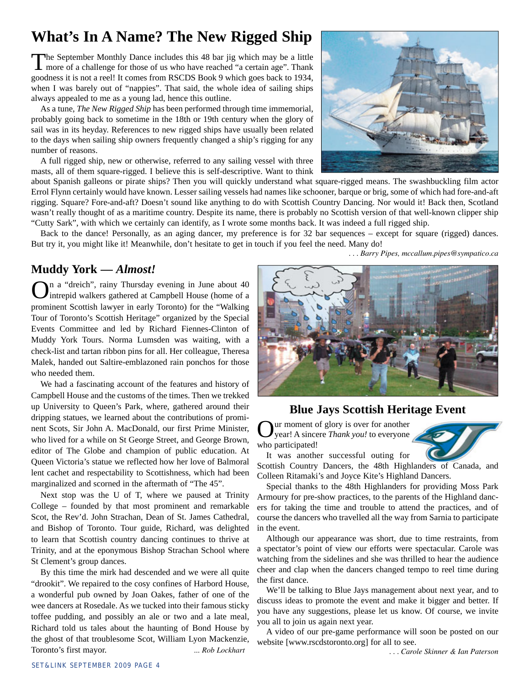## **What's In A Name? The New Rigged Ship**

The September Monthly Dance includes this 48 bar jig which may be a little more of a challenge for those of us who have reached "a certain age". Thank goodness it is not a reel! It comes from RSCDS Book 9 which goes back to 1934, when I was barely out of "nappies". That said, the whole idea of sailing ships always appealed to me as a young lad, hence this outline.

As a tune, *The New Rigged Ship* has been performed through time immemorial, probably going back to sometime in the 18th or 19th century when the glory of sail was in its heyday. References to new rigged ships have usually been related to the days when sailing ship owners frequently changed a ship's rigging for any number of reasons.

A full rigged ship, new or otherwise, referred to any sailing vessel with three masts, all of them square-rigged. I believe this is self-descriptive. Want to think



 *. . . Barry Pipes, mccallum.pipes@sympatico.ca*

about Spanish galleons or pirate ships? Then you will quickly understand what square-rigged means. The swashbuckling film actor Errol Flynn certainly would have known. Lesser sailing vessels had names like schooner, barque or brig, some of which had fore-and-aft rigging. Square? Fore-and-aft? Doesn't sound like anything to do with Scottish Country Dancing. Nor would it! Back then, Scotland wasn't really thought of as a maritime country. Despite its name, there is probably no Scottish version of that well-known clipper ship "Cutty Sark", with which we certainly can identify, as I wrote some months back. It was indeed a full rigged ship.

Back to the dance! Personally, as an aging dancer, my preference is for 32 bar sequences – except for square (rigged) dances. But try it, you might like it! Meanwhile, don't hesitate to get in touch if you feel the need. Many do!

## **Muddy York —** *Almost!*

On a "dreich", rainy Thursday evening in June about 40 intrepid walkers gathered at Campbell House (home of a prominent Scottish lawyer in early Toronto) for the "Walking Tour of Toronto's Scottish Heritage" organized by the Special Events Committee and led by Richard Fiennes-Clinton of Muddy York Tours. Norma Lumsden was waiting, with a check-list and tartan ribbon pins for all. Her colleague, Theresa Malek, handed out Saltire-emblazoned rain ponchos for those who needed them.

We had a fascinating account of the features and history of Campbell House and the customs of the times. Then we trekked up University to Queen's Park, where, gathered around their dripping statues, we learned about the contributions of prominent Scots, Sir John A. MacDonald, our first Prime Minister, who lived for a while on St George Street, and George Brown, editor of The Globe and champion of public education. At Queen Victoria's statue we reflected how her love of Balmoral lent cachet and respectability to Scottishness, which had been marginalized and scorned in the aftermath of "The 45".

Next stop was the U of T, where we paused at Trinity College – founded by that most prominent and remarkable Scot, the Rev'd. John Strachan, Dean of St. James Cathedral, and Bishop of Toronto. Tour guide, Richard, was delighted to learn that Scottish country dancing continues to thrive at Trinity, and at the eponymous Bishop Strachan School where St Clement's group dances.

By this time the mirk had descended and we were all quite "drookit". We repaired to the cosy confines of Harbord House, a wonderful pub owned by Joan Oakes, father of one of the wee dancers at Rosedale. As we tucked into their famous sticky toffee pudding, and possibly an ale or two and a late meal, Richard told us tales about the haunting of Bond House by the ghost of that troublesome Scot, William Lyon Mackenzie, Toronto's first mayor. *... Rob Lockhart*



### **Blue Jays Scottish Heritage Event**

ur moment of glory is over for another year! A sincere *Thank you!* to everyone who participated!



It was another successful outing for

Scottish Country Dancers, the 48th Highlanders of Canada, and Colleen Ritamaki's and Joyce Kite's Highland Dancers.

Special thanks to the 48th Highlanders for providing Moss Park Armoury for pre-show practices, to the parents of the Highland dancers for taking the time and trouble to attend the practices, and of course the dancers who travelled all the way from Sarnia to participate in the event.

Although our appearance was short, due to time restraints, from a spectator's point of view our efforts were spectacular. Carole was watching from the sidelines and she was thrilled to hear the audience cheer and clap when the dancers changed tempo to reel time during the first dance.

We'll be talking to Blue Jays management about next year, and to discuss ideas to promote the event and make it bigger and better. If you have any suggestions, please let us know. Of course, we invite you all to join us again next year.

A video of our pre-game performance will soon be posted on our website [www.rscdstoronto.org] for all to see.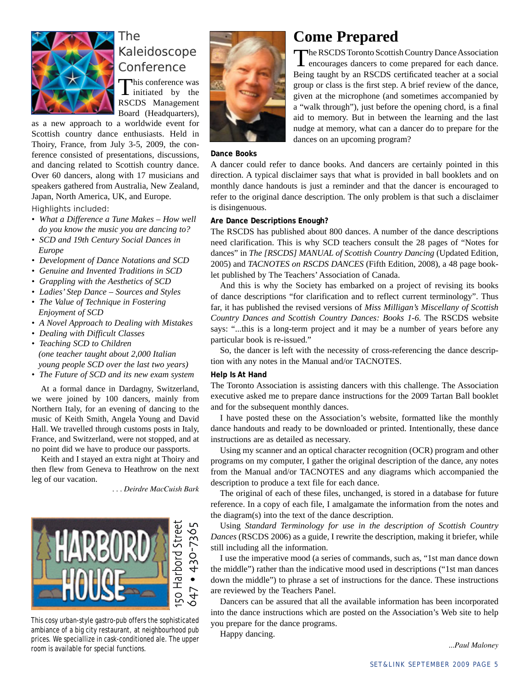

## The Kaleidoscope Conference

This conference was<br>initiated by the RSCDS Management Board (Headquarters),

as a new approach to a worldwide event for Scottish country dance enthusiasts. Held in Thoiry, France, from July 3-5, 2009, the conference consisted of presentations, discussions, and dancing related to Scottish country dance. Over 60 dancers, along with 17 musicians and speakers gathered from Australia, New Zealand, Japan, North America, UK, and Europe.

Highlights included:

- *What a Difference a Tune Makes How well do you know the music you are dancing to?*
- *SCD and 19th Century Social Dances in Europe*
- *Development of Dance Notations and SCD*
- *Genuine and Invented Traditions in SCD*
- *Grappling with the Aesthetics of SCD*
- *Ladies' Step Dance Sources and Styles*
- *The Value of Technique in Fostering Enjoyment of SCD*
- *A Novel Approach to Dealing with Mistakes*
- *Dealing with Difficult Classes*
- *Teaching SCD to Children (one teacher taught about 2,000 Italian young people SCD over the last two years)*
- *The Future of SCD and its new exam system*

At a formal dance in Dardagny, Switzerland, we were joined by 100 dancers, mainly from Northern Italy, for an evening of dancing to the music of Keith Smith, Angela Young and David Hall. We travelled through customs posts in Italy, France, and Switzerland, were not stopped, and at no point did we have to produce our passports.

Keith and I stayed an extra night at Thoiry and then flew from Geneva to Heathrow on the next leg of our vacation.

*. . . Deirdre MacCuish Bark*



This cosy urban-style gastro-pub offers the sophisticated ambiance of a big city restaurant, at neighbourhood pub prices. We speciallize in cask-conditioned ale. The upper room is available for special functions.



## **Come Prepared**

The RSCDS Toronto Scottish Country Dance Association encourages dancers to come prepared for each dance. Being taught by an RSCDS certificated teacher at a social group or class is the first step. A brief review of the dance, given at the microphone (and sometimes accompanied by a "walk through"), just before the opening chord, is a final aid to memory. But in between the learning and the last nudge at memory, what can a dancer do to prepare for the dances on an upcoming program?

#### **Dance Books**

A dancer could refer to dance books. And dancers are certainly pointed in this direction. A typical disclaimer says that what is provided in ball booklets and on monthly dance handouts is just a reminder and that the dancer is encouraged to refer to the original dance description. The only problem is that such a disclaimer is disingenuous.

#### **Are Dance Descriptions Enough?**

The RSCDS has published about 800 dances. A number of the dance descriptions need clarification. This is why SCD teachers consult the 28 pages of "Notes for dances" in *The [RSCDS] MANUAL of Scottish Country Dancing (Updated Edition,* 2005) and *TACNOTES on RSCDS DANCES* (Fifth Edition, 2008), a 48 page booklet published by The Teachers' Association of Canada.

And this is why the Society has embarked on a project of revising its books of dance descriptions "for clarification and to reflect current terminology". Thus far, it has published the revised versions of *Miss Milligan's Miscellany of Scottish Country Dances and Scottish Country Dances: Books 1-6.* The RSCDS website says: "...this is a long-term project and it may be a number of years before any particular book is re-issued."

So, the dancer is left with the necessity of cross-referencing the dance description with any notes in the Manual and/or TACNOTES.

#### **Help Is At Hand**

The Toronto Association is assisting dancers with this challenge. The Association executive asked me to prepare dance instructions for the 2009 Tartan Ball booklet and for the subsequent monthly dances.

I have posted these on the Association's website, formatted like the monthly dance handouts and ready to be downloaded or printed. Intentionally, these dance instructions are as detailed as necessary.

Using my scanner and an optical character recognition (OCR) program and other programs on my computer, I gather the original description of the dance, any notes from the Manual and/or TACNOTES and any diagrams which accompanied the description to produce a text file for each dance.

The original of each of these files, unchanged, is stored in a database for future reference. In a copy of each file, I amalgamate the information from the notes and the diagram(s) into the text of the dance description.

Using *Standard Terminology for use in the description of Scottish Country Dances* (RSCDS 2006) as a guide, I rewrite the description, making it briefer, while still including all the information.

I use the imperative mood (a series of commands, such as, "1st man dance down the middle") rather than the indicative mood used in descriptions ("1st man dances down the middle") to phrase a set of instructions for the dance. These instructions are reviewed by the Teachers Panel.

Dancers can be assured that all the available information has been incorporated into the dance instructions which are posted on the Association's Web site to help you prepare for the dance programs.

Happy dancing.